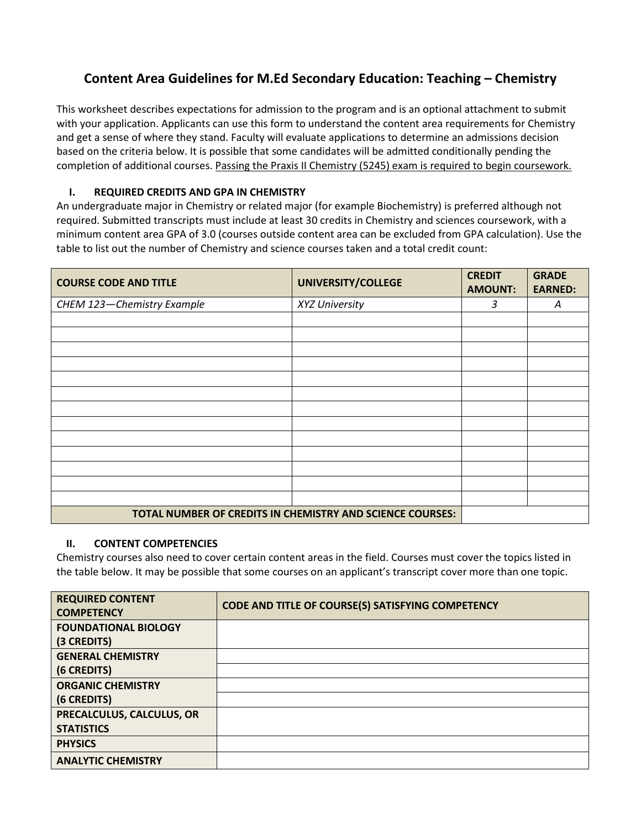## **Content Area Guidelines for M.Ed Secondary Education: Teaching – Chemistry**

This worksheet describes expectations for admission to the program and is an optional attachment to submit with your application. Applicants can use this form to understand the content area requirements for Chemistry and get a sense of where they stand. Faculty will evaluate applications to determine an admissions decision based on the criteria below. It is possible that some candidates will be admitted conditionally pending the completion of additional courses. Passing the Praxis II Chemistry (5245) exam is required to begin coursework.

## **I. REQUIRED CREDITS AND GPA IN CHEMISTRY**

An undergraduate major in Chemistry or related major (for example Biochemistry) is preferred although not required. Submitted transcripts must include at least 30 credits in Chemistry and sciences coursework, with a minimum content area GPA of 3.0 (courses outside content area can be excluded from GPA calculation). Use the table to list out the number of Chemistry and science courses taken and a total credit count:

| <b>COURSE CODE AND TITLE</b>                              | UNIVERSITY/COLLEGE | <b>CREDIT</b><br><b>AMOUNT:</b> | <b>GRADE</b><br><b>EARNED:</b> |
|-----------------------------------------------------------|--------------------|---------------------------------|--------------------------------|
| CHEM 123-Chemistry Example                                | XYZ University     | 3                               | Α                              |
|                                                           |                    |                                 |                                |
|                                                           |                    |                                 |                                |
|                                                           |                    |                                 |                                |
|                                                           |                    |                                 |                                |
|                                                           |                    |                                 |                                |
|                                                           |                    |                                 |                                |
|                                                           |                    |                                 |                                |
|                                                           |                    |                                 |                                |
|                                                           |                    |                                 |                                |
|                                                           |                    |                                 |                                |
|                                                           |                    |                                 |                                |
|                                                           |                    |                                 |                                |
|                                                           |                    |                                 |                                |
| TOTAL NUMBER OF CREDITS IN CHEMISTRY AND SCIENCE COURSES: |                    |                                 |                                |

## **II. CONTENT COMPETENCIES**

Chemistry courses also need to cover certain content areas in the field. Courses must cover the topics listed in the table below. It may be possible that some courses on an applicant's transcript cover more than one topic.

| <b>REQUIRED CONTENT</b><br><b>COMPETENCY</b> | CODE AND TITLE OF COURSE(S) SATISFYING COMPETENCY |
|----------------------------------------------|---------------------------------------------------|
| <b>FOUNDATIONAL BIOLOGY</b>                  |                                                   |
| (3 CREDITS)                                  |                                                   |
| <b>GENERAL CHEMISTRY</b>                     |                                                   |
| (6 CREDITS)                                  |                                                   |
| <b>ORGANIC CHEMISTRY</b>                     |                                                   |
| (6 CREDITS)                                  |                                                   |
| PRECALCULUS, CALCULUS, OR                    |                                                   |
| <b>STATISTICS</b>                            |                                                   |
| <b>PHYSICS</b>                               |                                                   |
| <b>ANALYTIC CHEMISTRY</b>                    |                                                   |